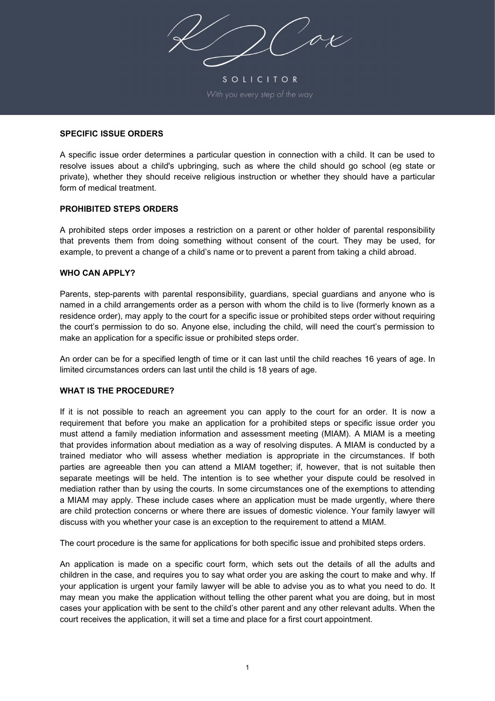SOLICITOR

## **SPECIFIC ISSUE ORDERS**

A specific issue order determines a particular question in connection with a child. It can be used to resolve issues about a child's upbringing, such as where the child should go school (eg state or private), whether they should receive religious instruction or whether they should have a particular form of medical treatment.

#### **PROHIBITED STEPS ORDERS**

A prohibited steps order imposes a restriction on a parent or other holder of parental responsibility that prevents them from doing something without consent of the court. They may be used, for example, to prevent a change of a child's name or to prevent a parent from taking a child abroad.

#### **WHO CAN APPLY?**

Parents, step-parents with parental responsibility, guardians, special guardians and anyone who is named in a child arrangements order as a person with whom the child is to live (formerly known as a residence order), may apply to the court for a specific issue or prohibited steps order without requiring the court's permission to do so. Anyone else, including the child, will need the court's permission to make an application for a specific issue or prohibited steps order.

An order can be for a specified length of time or it can last until the child reaches 16 years of age. In limited circumstances orders can last until the child is 18 years of age.

## **WHAT IS THE PROCEDURE?**

If it is not possible to reach an agreement you can apply to the court for an order. It is now a requirement that before you make an application for a prohibited steps or specific issue order you must attend a family mediation information and assessment meeting (MIAM). A MIAM is a meeting that provides information about mediation as a way of resolving disputes. A MIAM is conducted by a trained mediator who will assess whether mediation is appropriate in the circumstances. If both parties are agreeable then you can attend a MIAM together; if, however, that is not suitable then separate meetings will be held. The intention is to see whether your dispute could be resolved in mediation rather than by using the courts. In some circumstances one of the exemptions to attending a MIAM may apply. These include cases where an application must be made urgently, where there are child protection concerns or where there are issues of domestic violence. Your family lawyer will discuss with you whether your case is an exception to the requirement to attend a MIAM.

The court procedure is the same for applications for both specific issue and prohibited steps orders.

An application is made on a specific court form, which sets out the details of all the adults and children in the case, and requires you to say what order you are asking the court to make and why. If your application is urgent your family lawyer will be able to advise you as to what you need to do. It may mean you make the application without telling the other parent what you are doing, but in most cases your application with be sent to the child's other parent and any other relevant adults. When the court receives the application, it will set a time and place for a first court appointment.